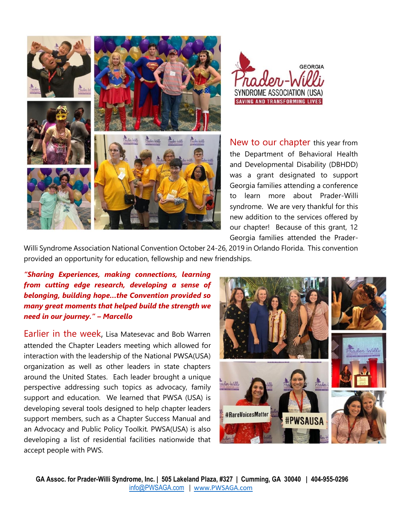



New to our chapter this year from the Department of Behavioral Health and Developmental Disability (DBHDD) was a grant designated to support Georgia families attending a conference to learn more about Prader-Willi syndrome. We are very thankful for this new addition to the services offered by our chapter! Because of this grant, 12 Georgia families attended the Prader-

Willi Syndrome Association National Convention October 24-26, 2019 in Orlando Florida. This convention provided an opportunity for education, fellowship and new friendships.

*"Sharing Experiences, making connections, learning from cutting edge research, developing a sense of belonging, building hope…the Convention provided so many great moments that helped build the strength we need in our journey." – Marcello* 

Earlier in the week, Lisa Matesevac and Bob Warren attended the Chapter Leaders meeting which allowed for interaction with the leadership of the National PWSA(USA) organization as well as other leaders in state chapters around the United States. Each leader brought a unique perspective addressing such topics as advocacy, family support and education. We learned that PWSA (USA) is developing several tools designed to help chapter leaders support members, such as a Chapter Success Manual and an Advocacy and Public Policy Toolkit. PWSA(USA) is also developing a list of residential facilities nationwide that accept people with PWS.

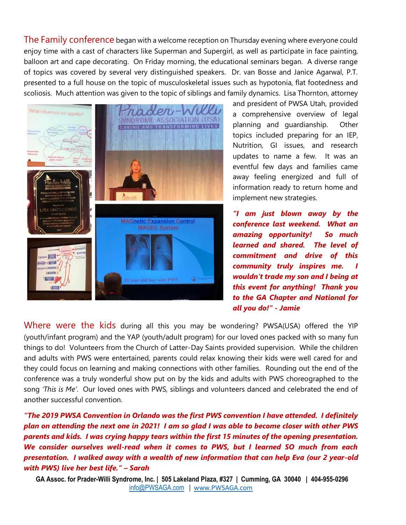The Family conference began with a welcome reception on Thursday evening where everyone could enjoy time with a cast of characters like Superman and Supergirl, as well as participate in face painting, balloon art and cape decorating. On Friday morning, the educational seminars began. A diverse range of topics was covered by several very distinguished speakers. Dr. van Bosse and Janice Agarwal, P.T. presented to a full house on the topic of musculoskeletal issues such as hypotonia, flat footedness and scoliosis. Much attention was given to the topic of siblings and family dynamics. Lisa Thornton, attorney



and president of PWSA Utah, provided a comprehensive overview of legal planning and guardianship. Other topics included preparing for an IEP, Nutrition, GI issues, and research updates to name a few. It was an eventful few days and families came away feeling energized and full of information ready to return home and implement new strategies.

*"I am just blown away by the conference last weekend. What an amazing opportunity! So much learned and shared. The level of commitment and drive of this community truly inspires me. I wouldn't trade my son and I being at this event for anything! Thank you to the GA Chapter and National for all you do!" - Jamie*

Where were the kids during all this you may be wondering? PWSA(USA) offered the YIP (youth/infant program) and the YAP (youth/adult program) for our loved ones packed with so many fun things to do! Volunteers from the Church of Latter-Day Saints provided supervision. While the children and adults with PWS were entertained, parents could relax knowing their kids were well cared for and they could focus on learning and making connections with other families. Rounding out the end of the conference was a truly wonderful show put on by the kids and adults with PWS choreographed to the song *'This is Me'*. Our loved ones with PWS, siblings and volunteers danced and celebrated the end of another successful convention.

*"The 2019 PWSA Convention in Orlando was the first PWS convention I have attended. I definitely plan on attending the next one in 2021! I am so glad I was able to become closer with other PWS parents and kids. I was crying happy tears within the first 15 minutes of the opening presentation. We consider ourselves well-read when it comes to PWS, but I learned SO much from each presentation. I walked away with a wealth of new information that can help Eva (our 2 year-old with PWS) live her best life." – Sarah*

**GA Assoc. for Prader-Willi Syndrome, Inc. | 505 Lakeland Plaza, #327 | Cumming, GA 30040 | 404-955-0296** [info@PWSAGA.com](mailto:info@PWSAGA.com) | [www.PWSAGA.com](http://www.pwsaga.com/)